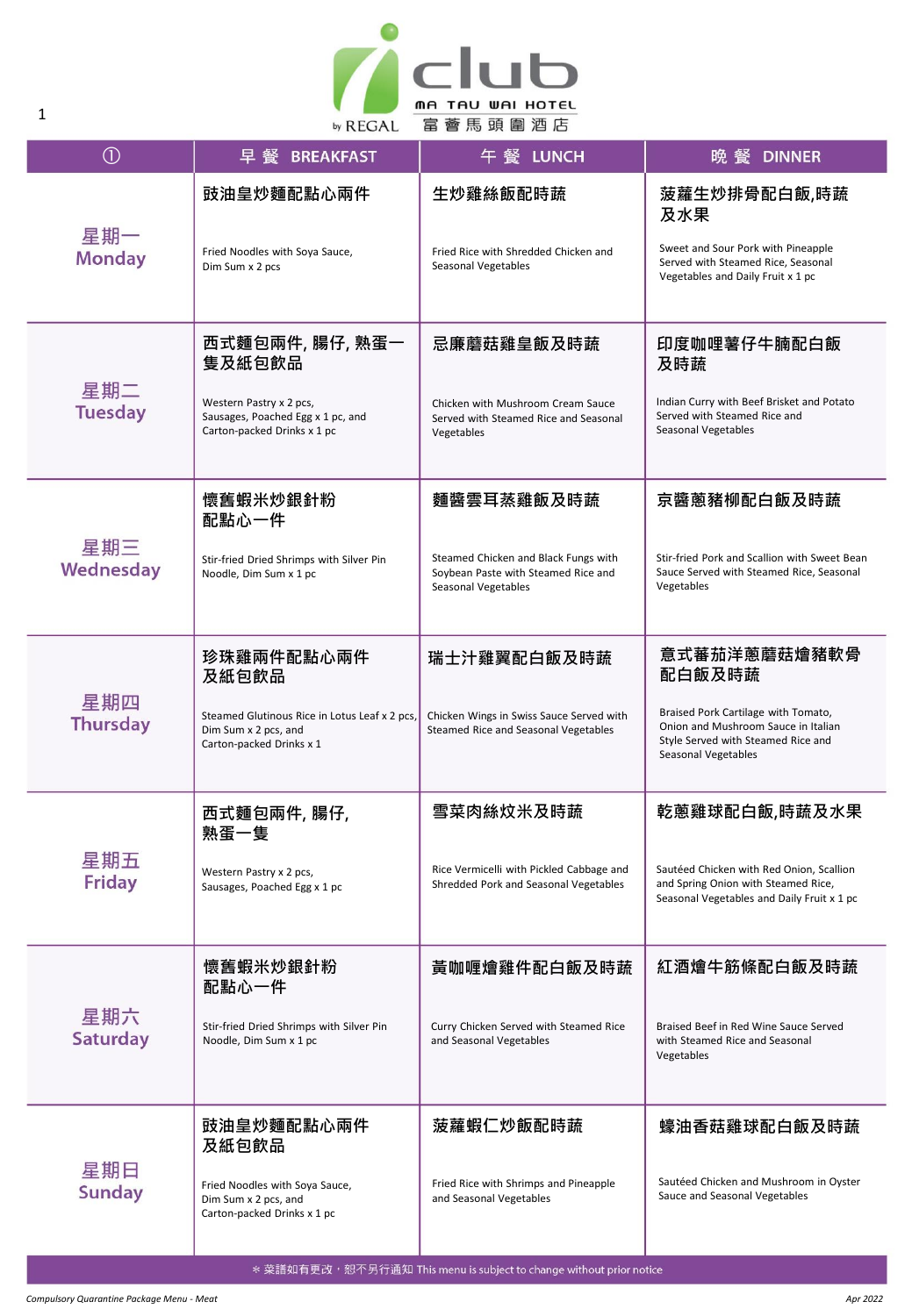

| $\circled{0}$          | 早 餐 BREAKFAST                                                                                     | 午 餐 LUNCH                                                                                          | 晚 餐 DINNER                                                                                                                              |
|------------------------|---------------------------------------------------------------------------------------------------|----------------------------------------------------------------------------------------------------|-----------------------------------------------------------------------------------------------------------------------------------------|
|                        | 豉油皇炒麵配點心兩件                                                                                        | 生炒雞絲飯配時蔬                                                                                           | 菠蘿生炒排骨配白飯,時蔬<br>及水果                                                                                                                     |
| 星期一<br><b>Monday</b>   | Fried Noodles with Soya Sauce,<br>Dim Sum x 2 pcs                                                 | Fried Rice with Shredded Chicken and<br>Seasonal Vegetables                                        | Sweet and Sour Pork with Pineapple<br>Served with Steamed Rice, Seasonal<br>Vegetables and Daily Fruit x 1 pc                           |
| 星期二<br><b>Tuesday</b>  | 西式麵包兩件, 腸仔, 熟蛋一<br>隻及紙包飲品                                                                         | 忌廉蘑菇雞皇飯及時蔬                                                                                         | 印度咖哩薯仔牛腩配白飯<br>及時蔬                                                                                                                      |
|                        | Western Pastry x 2 pcs,<br>Sausages, Poached Egg x 1 pc, and<br>Carton-packed Drinks x 1 pc       | Chicken with Mushroom Cream Sauce<br>Served with Steamed Rice and Seasonal<br>Vegetables           | Indian Curry with Beef Brisket and Potato<br>Served with Steamed Rice and<br>Seasonal Vegetables                                        |
|                        | 懷舊蝦米炒銀針粉<br>配點心一件                                                                                 | 麵醬雲耳蒸雞飯及時蔬                                                                                         | 京醬蔥豬柳配白飯及時蔬                                                                                                                             |
| 星期三<br>Wednesday       | Stir-fried Dried Shrimps with Silver Pin<br>Noodle, Dim Sum x 1 pc                                | Steamed Chicken and Black Fungs with<br>Soybean Paste with Steamed Rice and<br>Seasonal Vegetables | Stir-fried Pork and Scallion with Sweet Bean<br>Sauce Served with Steamed Rice, Seasonal<br>Vegetables                                  |
| 星期四<br><b>Thursday</b> | 珍珠雞兩件配點心兩件<br>及紙包飲品                                                                               | 瑞士汁雞翼配白飯及時蔬                                                                                        | 意式蕃茄洋蔥蘑菇燴豬軟骨<br>配白飯及時蔬                                                                                                                  |
|                        | Steamed Glutinous Rice in Lotus Leaf x 2 pcs,<br>Dim Sum x 2 pcs, and<br>Carton-packed Drinks x 1 | Chicken Wings in Swiss Sauce Served with<br>Steamed Rice and Seasonal Vegetables                   | Braised Pork Cartilage with Tomato,<br>Onion and Mushroom Sauce in Italian<br>Style Served with Steamed Rice and<br>Seasonal Vegetables |
|                        | 西式麵包兩件, 腸仔,<br>熟蛋一隻                                                                               | 雪菜肉絲炆米及時蔬                                                                                          | 乾蔥雞球配白飯,時蔬及水果                                                                                                                           |
| 星期五<br>Friday          | Western Pastry x 2 pcs,<br>Sausages, Poached Egg x 1 pc                                           | Rice Vermicelli with Pickled Cabbage and<br>Shredded Pork and Seasonal Vegetables                  | Sautéed Chicken with Red Onion, Scallion<br>and Spring Onion with Steamed Rice,<br>Seasonal Vegetables and Daily Fruit x 1 pc           |
| 星期六<br><b>Saturday</b> | 懷舊蝦米炒銀針粉<br>配點心一件                                                                                 | 黃咖喱燴雞件配白飯及時蔬                                                                                       | 紅酒燴牛筋條配白飯及時蔬                                                                                                                            |
|                        | Stir-fried Dried Shrimps with Silver Pin<br>Noodle, Dim Sum x 1 pc                                | Curry Chicken Served with Steamed Rice<br>and Seasonal Vegetables                                  | Braised Beef in Red Wine Sauce Served<br>with Steamed Rice and Seasonal<br>Vegetables                                                   |
| 星期日<br><b>Sunday</b>   | 豉油皇炒麵配點心兩件<br>及紙包飲品                                                                               | 菠蘿蝦仁炒飯配時蔬                                                                                          | 蠔油香菇雞球配白飯及時蔬                                                                                                                            |
|                        | Fried Noodles with Soya Sauce,<br>Dim Sum x 2 pcs, and<br>Carton-packed Drinks x 1 pc             | Fried Rice with Shrimps and Pineapple<br>and Seasonal Vegetables                                   | Sautéed Chicken and Mushroom in Oyster<br>Sauce and Seasonal Vegetables                                                                 |

1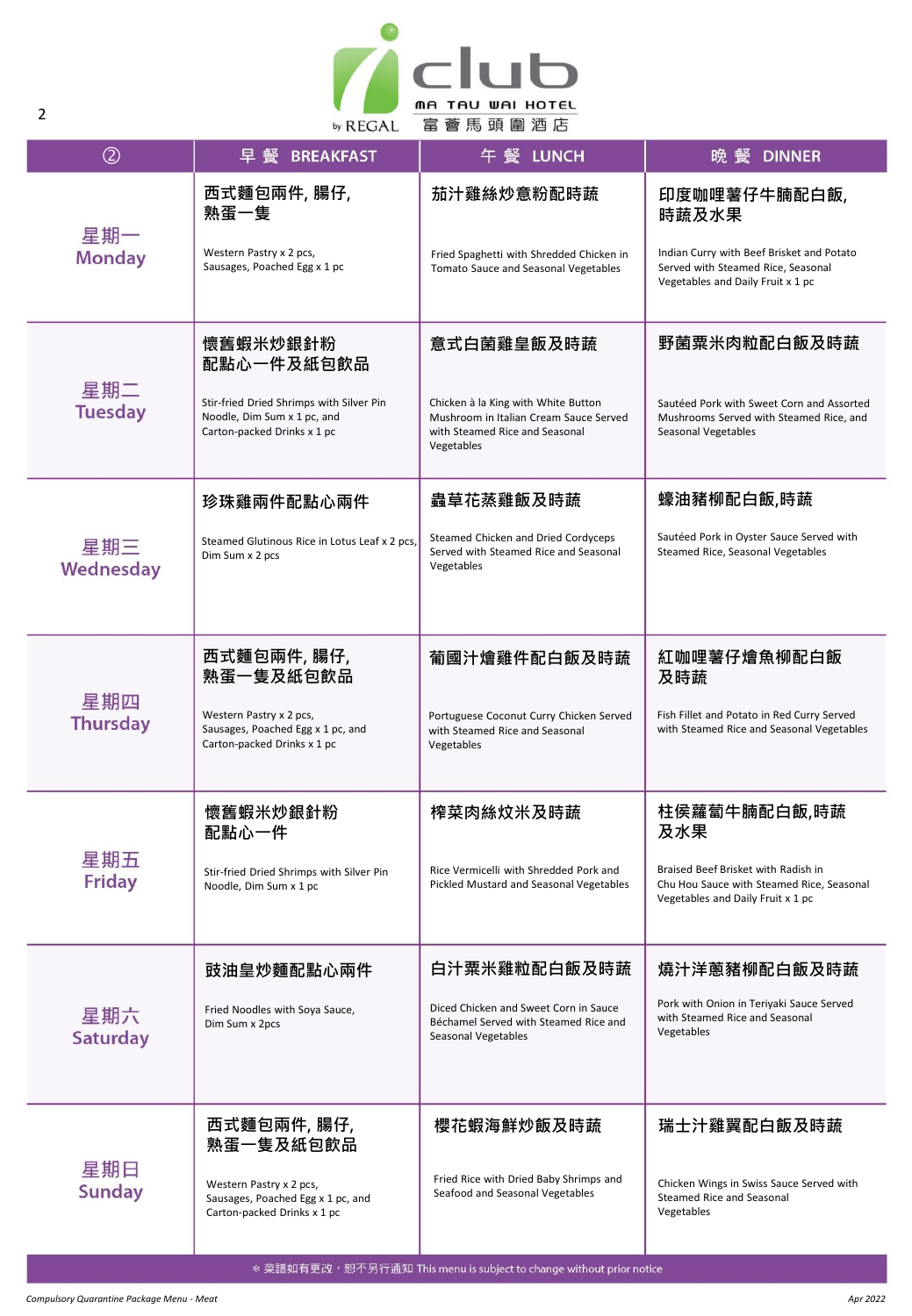

| $\circledcirc$         | 早 餐<br><b>BREAKFAST</b>                                                                                | 午 餐 LUNCH                                                                                                                     | 晚 餐 DINNER                                                                                                            |
|------------------------|--------------------------------------------------------------------------------------------------------|-------------------------------------------------------------------------------------------------------------------------------|-----------------------------------------------------------------------------------------------------------------------|
| 星期一<br><b>Monday</b>   | 西式麵包兩件, 腸仔,<br>熟蛋一隻                                                                                    | 茄汁雞絲炒意粉配時蔬                                                                                                                    | 印度咖哩薯仔牛腩配白飯,<br>時蔬及水果                                                                                                 |
|                        | Western Pastry x 2 pcs,<br>Sausages, Poached Egg x 1 pc                                                | Fried Spaghetti with Shredded Chicken in<br>Tomato Sauce and Seasonal Vegetables                                              | Indian Curry with Beef Brisket and Potato<br>Served with Steamed Rice, Seasonal<br>Vegetables and Daily Fruit x 1 pc  |
| 星期二<br><b>Tuesday</b>  | 懷舊蝦米炒銀針粉<br>配點心一件及紙包飲品                                                                                 | 意式白菌雞皇飯及時蔬                                                                                                                    | 野菌粟米肉粒配白飯及時蔬                                                                                                          |
|                        | Stir-fried Dried Shrimps with Silver Pin<br>Noodle, Dim Sum x 1 pc, and<br>Carton-packed Drinks x 1 pc | Chicken à la King with White Button<br>Mushroom in Italian Cream Sauce Served<br>with Steamed Rice and Seasonal<br>Vegetables | Sautéed Pork with Sweet Corn and Assorted<br>Mushrooms Served with Steamed Rice, and<br>Seasonal Vegetables           |
|                        | 珍珠雞兩件配點心兩件                                                                                             | 蟲草花蒸雞飯及時蔬                                                                                                                     | 蠔油豬柳配白飯,時蔬                                                                                                            |
| 星期三<br>Wednesday       | Steamed Glutinous Rice in Lotus Leaf x 2 pcs,<br>Dim Sum x 2 pcs                                       | Steamed Chicken and Dried Cordyceps<br>Served with Steamed Rice and Seasonal<br>Vegetables                                    | Sautéed Pork in Oyster Sauce Served with<br>Steamed Rice, Seasonal Vegetables                                         |
| 星期四<br><b>Thursday</b> | 西式麵包兩件, 腸仔,<br>熟蛋一隻及紙包飲品                                                                               | 葡國汁燴雞件配白飯及時蔬                                                                                                                  | 紅咖哩薯仔燴魚柳配白飯<br>及時蔬                                                                                                    |
|                        | Western Pastry x 2 pcs,<br>Sausages, Poached Egg x 1 pc, and<br>Carton-packed Drinks x 1 pc            | Portuguese Coconut Curry Chicken Served<br>with Steamed Rice and Seasonal<br>Vegetables                                       | Fish Fillet and Potato in Red Curry Served<br>with Steamed Rice and Seasonal Vegetables                               |
|                        | 懷舊蝦米炒銀針粉<br>配點心一件                                                                                      | 榨菜肉絲炆米及時蔬                                                                                                                     | 柱侯蘿蔔牛腩配白飯,時蔬<br>及水果                                                                                                   |
| 星期五<br><b>Friday</b>   | Stir-fried Dried Shrimps with Silver Pin<br>Noodle, Dim Sum x 1 pc                                     | Rice Vermicelli with Shredded Pork and<br>Pickled Mustard and Seasonal Vegetables                                             | Braised Beef Brisket with Radish in<br>Chu Hou Sauce with Steamed Rice, Seasonal<br>Vegetables and Daily Fruit x 1 pc |
| 星期六<br><b>Saturday</b> | 豉油皇炒麵配點心兩件                                                                                             | 白汁粟米雞粒配白飯及時蔬                                                                                                                  | 燒汁洋蔥豬柳配白飯及時蔬                                                                                                          |
|                        | Fried Noodles with Soya Sauce,<br>Dim Sum x 2pcs                                                       | Diced Chicken and Sweet Corn in Sauce<br>Béchamel Served with Steamed Rice and<br>Seasonal Vegetables                         | Pork with Onion in Teriyaki Sauce Served<br>with Steamed Rice and Seasonal<br>Vegetables                              |
| 星期日<br><b>Sunday</b>   | 西式麵包兩件, 腸仔,<br>熟蛋一隻及紙包飲品                                                                               | 櫻花蝦海鮮炒飯及時蔬                                                                                                                    | 瑞士汁雞翼配白飯及時蔬                                                                                                           |
|                        | Western Pastry x 2 pcs,<br>Sausages, Poached Egg x 1 pc, and<br>Carton-packed Drinks x 1 pc            | Fried Rice with Dried Baby Shrimps and<br>Seafood and Seasonal Vegetables                                                     | Chicken Wings in Swiss Sauce Served with<br>Steamed Rice and Seasonal<br>Vegetables                                   |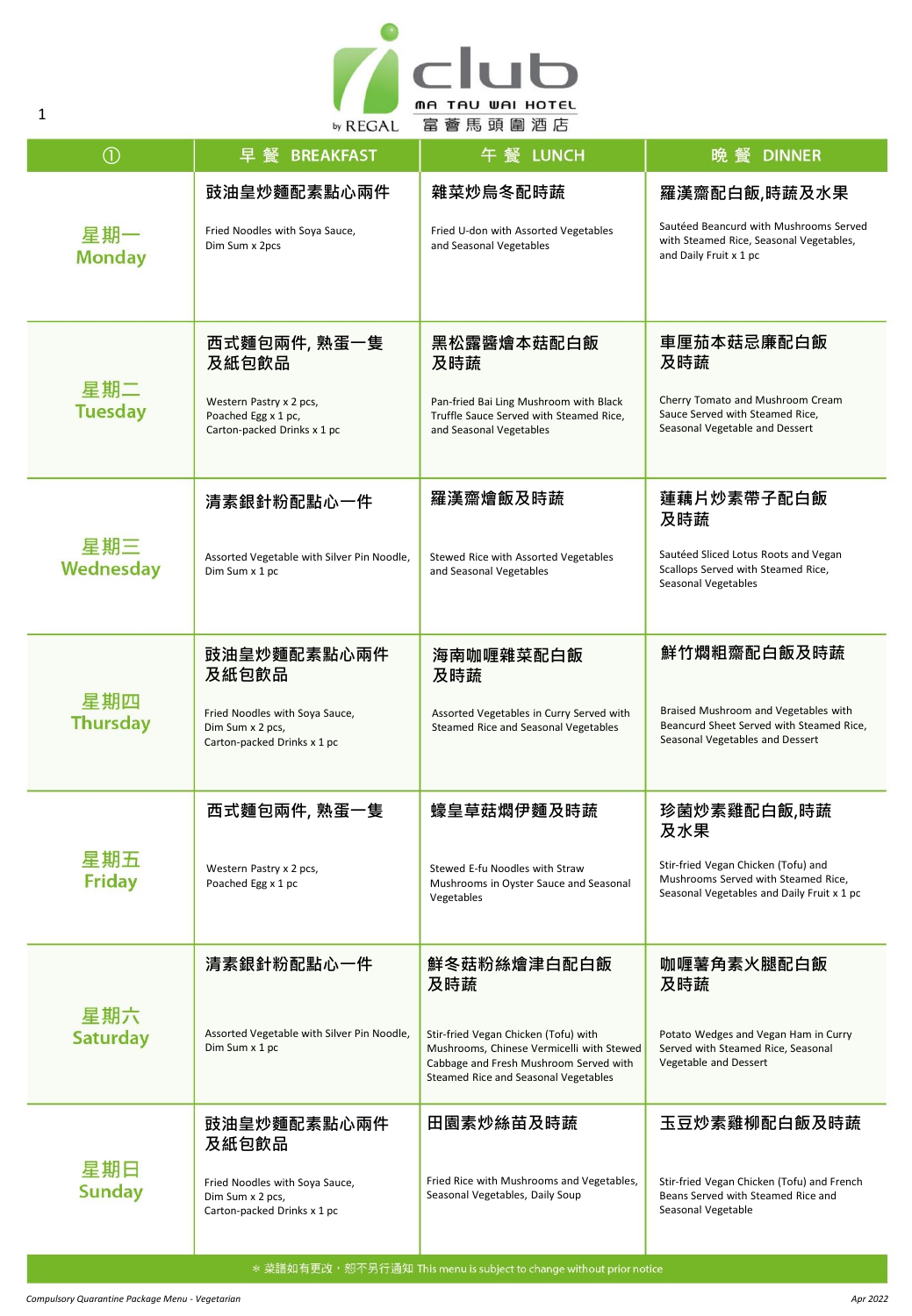

| $\odot$                | 모 督<br><b>BREAKFAST</b>                                                                                | 午 餐 LUNCH                                                                                                                                                           | <b>DINNER</b><br>晩 餐                                                                                                       |
|------------------------|--------------------------------------------------------------------------------------------------------|---------------------------------------------------------------------------------------------------------------------------------------------------------------------|----------------------------------------------------------------------------------------------------------------------------|
|                        | 豉油皇炒麵配素點心兩件                                                                                            | 雜菜炒烏冬配時蔬                                                                                                                                                            | 羅漢齋配白飯,時蔬及水果                                                                                                               |
| 星期一<br><b>Monday</b>   | Fried Noodles with Soya Sauce,<br>Dim Sum x 2pcs                                                       | Fried U-don with Assorted Vegetables<br>and Seasonal Vegetables                                                                                                     | Sautéed Beancurd with Mushrooms Served<br>with Steamed Rice, Seasonal Vegetables,<br>and Daily Fruit x 1 pc                |
| 星期二<br><b>Tuesday</b>  | 西式麵包兩件, 熟蛋一隻<br>及紙包飲品<br>Western Pastry x 2 pcs,<br>Poached Egg x 1 pc,<br>Carton-packed Drinks x 1 pc | 黑松露醬燴本菇配白飯<br>及時蔬<br>Pan-fried Bai Ling Mushroom with Black<br>Truffle Sauce Served with Steamed Rice,<br>and Seasonal Vegetables                                   | 車厘茄本菇忌廉配白飯<br>及時蔬<br>Cherry Tomato and Mushroom Cream<br>Sauce Served with Steamed Rice,<br>Seasonal Vegetable and Dessert |
|                        | 清素銀針粉配點心一件                                                                                             | 羅漢齋燴飯及時蔬                                                                                                                                                            | 蓮藕片炒素帶子配白飯<br>及時蔬                                                                                                          |
| 星期三<br>Wednesday       | Assorted Vegetable with Silver Pin Noodle,<br>Dim Sum x 1 pc                                           | Stewed Rice with Assorted Vegetables<br>and Seasonal Vegetables                                                                                                     | Sautéed Sliced Lotus Roots and Vegan<br>Scallops Served with Steamed Rice,<br>Seasonal Vegetables                          |
| 星期四<br><b>Thursday</b> | 豉油皇炒麵配素點心兩件<br>及紙包飲品                                                                                   | 海南咖喱雜菜配白飯<br>及時蔬                                                                                                                                                    | 鮮竹燜粗齋配白飯及時蔬                                                                                                                |
|                        | Fried Noodles with Soya Sauce,<br>Dim Sum x 2 pcs,<br>Carton-packed Drinks x 1 pc                      | Assorted Vegetables in Curry Served with<br>Steamed Rice and Seasonal Vegetables                                                                                    | Braised Mushroom and Vegetables with<br>Beancurd Sheet Served with Steamed Rice,<br>Seasonal Vegetables and Dessert        |
|                        | 西式麵包兩件, 熟蛋一隻                                                                                           | 蠔皇草菇燜伊麵及時蔬                                                                                                                                                          | 珍菌炒素雞配白飯,時蔬<br>及水果                                                                                                         |
| 星期五<br><b>Friday</b>   | Western Pastry x 2 pcs,<br>Poached Egg x 1 pc                                                          | Stewed E-fu Noodles with Straw<br>Mushrooms in Oyster Sauce and Seasonal<br>Vegetables                                                                              | Stir-fried Vegan Chicken (Tofu) and<br>Mushrooms Served with Steamed Rice,<br>Seasonal Vegetables and Daily Fruit x 1 pc   |
| 星期六<br><b>Saturday</b> | 清素銀針粉配點心一件                                                                                             | 鮮冬菇粉絲燴津白配白飯<br>及時蔬                                                                                                                                                  | 咖喱薯角素火腿配白飯<br>及時蔬                                                                                                          |
|                        | Assorted Vegetable with Silver Pin Noodle,<br>Dim Sum x 1 pc                                           | Stir-fried Vegan Chicken (Tofu) with<br>Mushrooms, Chinese Vermicelli with Stewed<br>Cabbage and Fresh Mushroom Served with<br>Steamed Rice and Seasonal Vegetables | Potato Wedges and Vegan Ham in Curry<br>Served with Steamed Rice, Seasonal<br>Vegetable and Dessert                        |
| 星期日<br><b>Sunday</b>   | 豉油皇炒麵配素點心兩件<br>及紙包飲品                                                                                   | 田園素炒絲苗及時蔬                                                                                                                                                           | 玉豆炒素雞柳配白飯及時蔬                                                                                                               |
|                        | Fried Noodles with Soya Sauce,<br>Dim Sum x 2 pcs,<br>Carton-packed Drinks x 1 pc                      | Fried Rice with Mushrooms and Vegetables,<br>Seasonal Vegetables, Daily Soup                                                                                        | Stir-fried Vegan Chicken (Tofu) and French<br>Beans Served with Steamed Rice and<br>Seasonal Vegetable                     |

1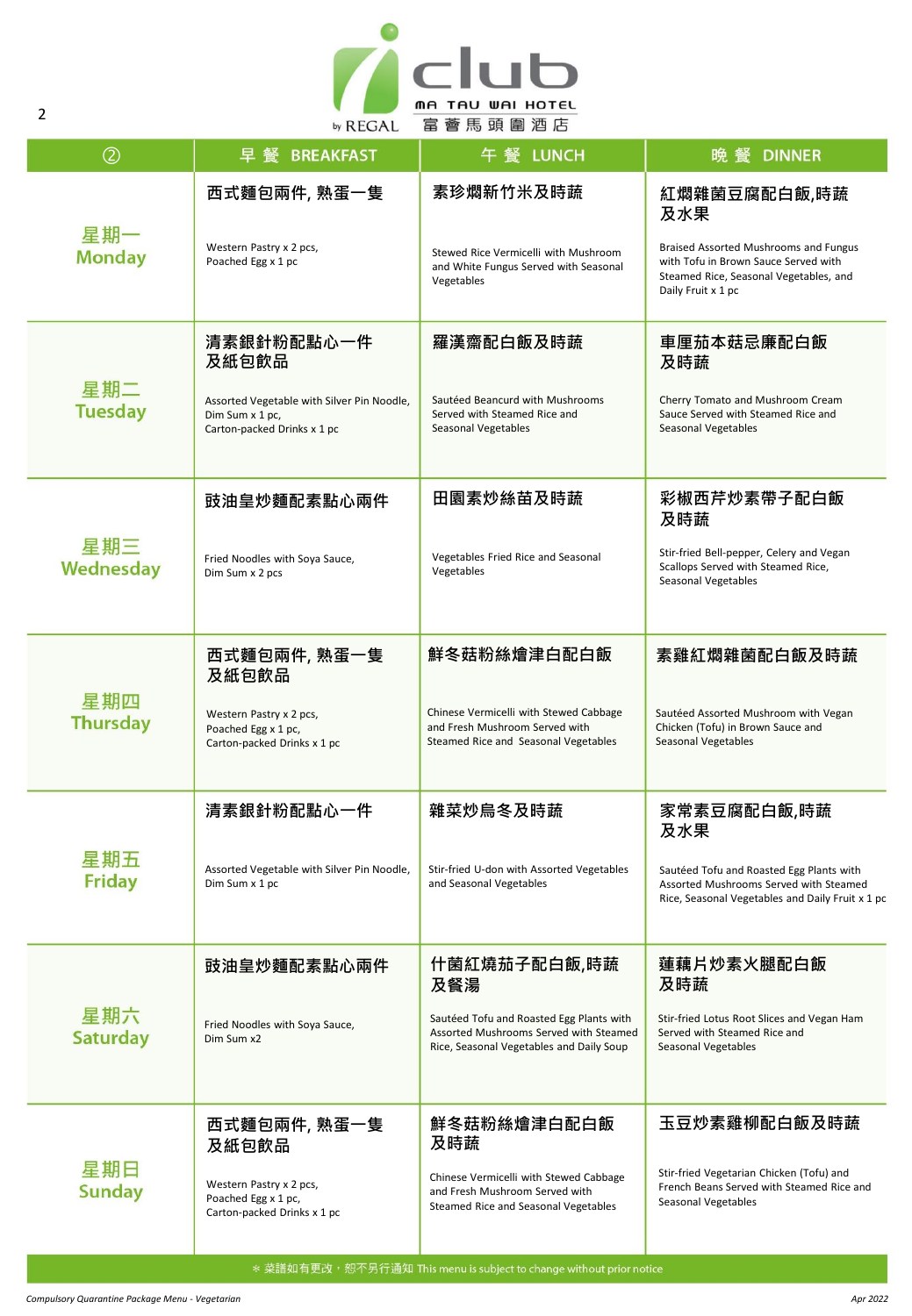

| $\circled{2}$          | 早 餐<br><b>BREAKFAST</b>                                                                      | 午 餐 LUNCH                                                                                                                      | 晩 餐<br><b>DINNER</b>                                                                                                                          |
|------------------------|----------------------------------------------------------------------------------------------|--------------------------------------------------------------------------------------------------------------------------------|-----------------------------------------------------------------------------------------------------------------------------------------------|
| 星期一<br><b>Monday</b>   | 西式麵包兩件, 熟蛋一隻                                                                                 | 素珍燜新竹米及時蔬                                                                                                                      | 紅燜雜菌豆腐配白飯,時蔬<br>及水果                                                                                                                           |
|                        | Western Pastry x 2 pcs,<br>Poached Egg x 1 pc                                                | Stewed Rice Vermicelli with Mushroom<br>and White Fungus Served with Seasonal<br>Vegetables                                    | Braised Assorted Mushrooms and Fungus<br>with Tofu in Brown Sauce Served with<br>Steamed Rice, Seasonal Vegetables, and<br>Daily Fruit x 1 pc |
|                        | 清素銀針粉配點心一件<br>及紙包飲品                                                                          | 羅漢齋配白飯及時蔬                                                                                                                      | 車厘茄本菇忌廉配白飯<br>及時蔬                                                                                                                             |
| 星期二<br><b>Tuesday</b>  | Assorted Vegetable with Silver Pin Noodle,<br>Dim Sum x 1 pc,<br>Carton-packed Drinks x 1 pc | Sautéed Beancurd with Mushrooms<br>Served with Steamed Rice and<br>Seasonal Vegetables                                         | Cherry Tomato and Mushroom Cream<br>Sauce Served with Steamed Rice and<br>Seasonal Vegetables                                                 |
|                        | 豉油皇炒麵配素點心兩件                                                                                  | 田園素炒絲苗及時蔬                                                                                                                      | 彩椒西芹炒素帶子配白飯<br>及時蔬                                                                                                                            |
| 星期三<br>Wednesday       | Fried Noodles with Soya Sauce,<br>Dim Sum x 2 pcs                                            | Vegetables Fried Rice and Seasonal<br>Vegetables                                                                               | Stir-fried Bell-pepper, Celery and Vegan<br>Scallops Served with Steamed Rice,<br>Seasonal Vegetables                                         |
|                        | 西式麵包兩件, 熟蛋一隻<br>及紙包飲品                                                                        | 鮮冬菇粉絲燴津白配白飯                                                                                                                    | 素雞紅燜雜菌配白飯及時蔬                                                                                                                                  |
| 星期四<br><b>Thursday</b> | Western Pastry x 2 pcs,<br>Poached Egg x 1 pc,<br>Carton-packed Drinks x 1 pc                | Chinese Vermicelli with Stewed Cabbage<br>and Fresh Mushroom Served with<br>Steamed Rice and Seasonal Vegetables               | Sautéed Assorted Mushroom with Vegan<br>Chicken (Tofu) in Brown Sauce and<br>Seasonal Vegetables                                              |
|                        | 清素銀針粉配點心一件                                                                                   | 雜菜炒鳥冬及時蔬                                                                                                                       | 家常素豆腐配白飯,時蔬<br>及水果                                                                                                                            |
| 星期五<br><b>Friday</b>   | Assorted Vegetable with Silver Pin Noodle,<br>Dim Sum x 1 pc                                 | Stir-fried U-don with Assorted Vegetables<br>and Seasonal Vegetables                                                           | Sautéed Tofu and Roasted Egg Plants with<br>Assorted Mushrooms Served with Steamed<br>Rice, Seasonal Vegetables and Daily Fruit x 1 pc        |
| 星期六<br><b>Saturday</b> | 豉油皇炒麵配素點心兩件                                                                                  | 什菌紅燒茄子配白飯,時蔬<br>及餐湯                                                                                                            | 蓮藕片炒素火腿配白飯<br>及時蔬                                                                                                                             |
|                        | Fried Noodles with Soya Sauce,<br>Dim Sum x2                                                 | Sautéed Tofu and Roasted Egg Plants with<br>Assorted Mushrooms Served with Steamed<br>Rice, Seasonal Vegetables and Daily Soup | Stir-fried Lotus Root Slices and Vegan Ham<br>Served with Steamed Rice and<br>Seasonal Vegetables                                             |
| 星期日<br><b>Sunday</b>   | 西式麵包兩件, 熟蛋一隻<br>及紙包飲品                                                                        | 鮮冬菇粉絲燴津白配白飯<br>及時蔬                                                                                                             | 玉豆炒素雞柳配白飯及時蔬                                                                                                                                  |
|                        | Western Pastry x 2 pcs,<br>Poached Egg x 1 pc,<br>Carton-packed Drinks x 1 pc                | Chinese Vermicelli with Stewed Cabbage<br>and Fresh Mushroom Served with<br>Steamed Rice and Seasonal Vegetables               | Stir-fried Vegetarian Chicken (Tofu) and<br>French Beans Served with Steamed Rice and<br>Seasonal Vegetables                                  |

2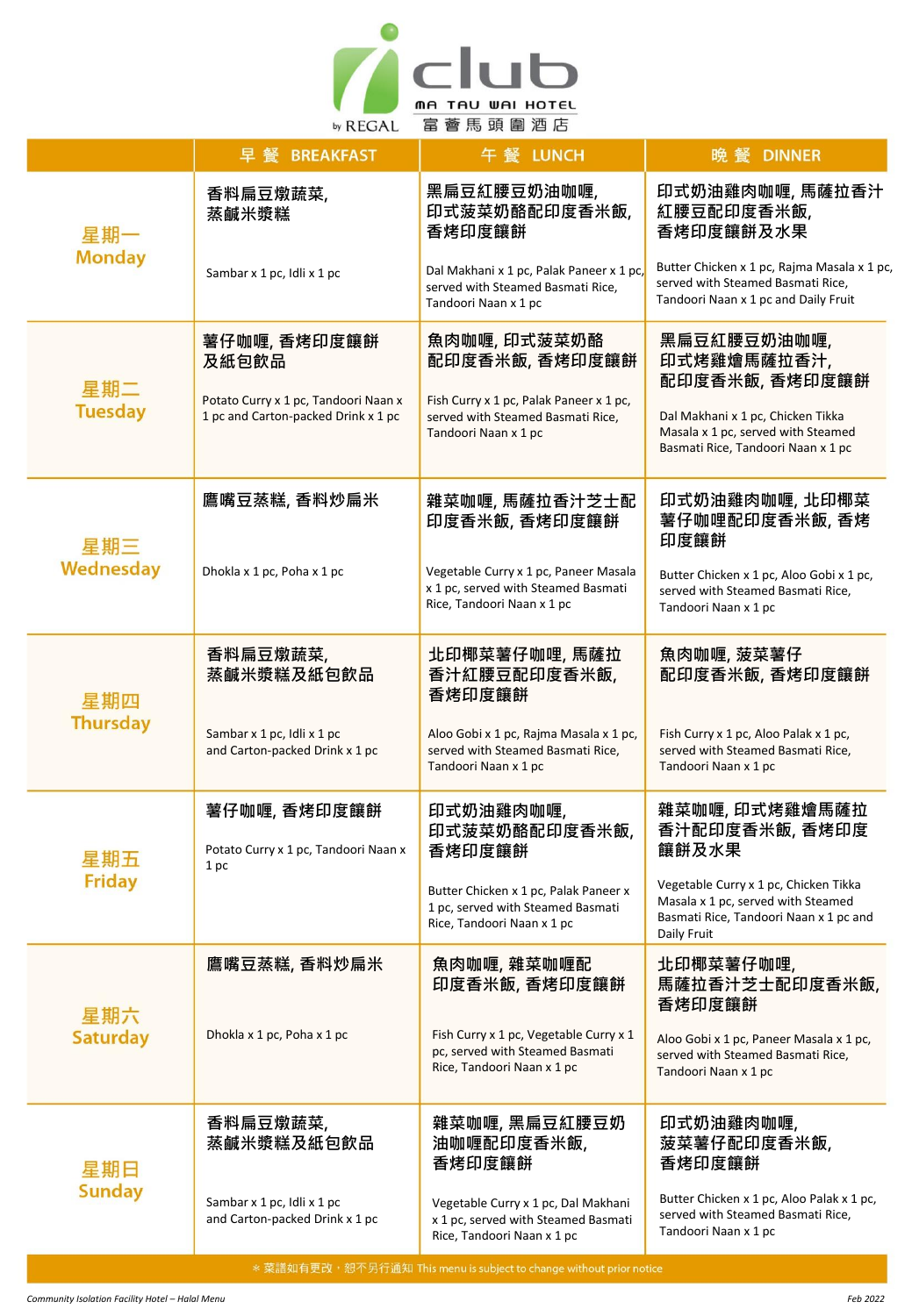

|                        | 早 餐 BREAKFAST                                                               | 午 餐 LUNCH                                                                                                  | 晚 餐 DINNER                                                                                                                           |
|------------------------|-----------------------------------------------------------------------------|------------------------------------------------------------------------------------------------------------|--------------------------------------------------------------------------------------------------------------------------------------|
| 星期一<br><b>Monday</b>   | 香料扁豆燉蔬菜,<br>蒸鹹米漿糕                                                           | 黑扁豆紅腰豆奶油咖喱,<br>印式菠菜奶酪配印度香米飯,<br>香烤印度饟餅                                                                     | 印式奶油雞肉咖喱, 馬薩拉香汁<br>紅腰豆配印度香米飯,<br>香烤印度饟餅及水果                                                                                           |
|                        | Sambar x 1 pc, Idli x 1 pc                                                  | Dal Makhani x 1 pc, Palak Paneer x 1 pc,<br>served with Steamed Basmati Rice,<br>Tandoori Naan x 1 pc      | Butter Chicken x 1 pc, Rajma Masala x 1 pc,<br>served with Steamed Basmati Rice,<br>Tandoori Naan x 1 pc and Daily Fruit             |
| 星期二<br><b>Tuesday</b>  | 薯仔咖喱, 香烤印度饟餅<br>及紙包飲品                                                       | 魚肉咖喱, 印式菠菜奶酪<br>配印度香米飯, 香烤印度饟餅                                                                             | 黑扁豆紅腰豆奶油咖喱,<br>印式烤雞燴馬薩拉香汁,<br>配印度香米飯, 香烤印度饟餅                                                                                         |
|                        | Potato Curry x 1 pc, Tandoori Naan x<br>1 pc and Carton-packed Drink x 1 pc | Fish Curry x 1 pc, Palak Paneer x 1 pc,<br>served with Steamed Basmati Rice,<br>Tandoori Naan x 1 pc       | Dal Makhani x 1 pc, Chicken Tikka<br>Masala x 1 pc, served with Steamed<br>Basmati Rice, Tandoori Naan x 1 pc                        |
| 星期三<br>Wednesday       | 鷹嘴豆蒸糕, 香料炒扁米                                                                | 雜菜咖喱, 馬薩拉香汁芝士配<br>印度香米飯, 香烤印度饟餅                                                                            | 印式奶油雞肉咖喱, 北印椰菜<br>薯仔咖哩配印度香米飯, 香烤<br>印度饟餅                                                                                             |
|                        | Dhokla x 1 pc, Poha x 1 pc                                                  | Vegetable Curry x 1 pc, Paneer Masala<br>x 1 pc, served with Steamed Basmati<br>Rice, Tandoori Naan x 1 pc | Butter Chicken x 1 pc, Aloo Gobi x 1 pc,<br>served with Steamed Basmati Rice,<br>Tandoori Naan x 1 pc                                |
| 星期四<br><b>Thursday</b> | 香料扁豆燉蔬菜,<br>蒸鹹米漿糕及紙包飲品                                                      | 北印椰菜薯仔咖哩, 馬薩拉<br>香汁紅腰豆配印度香米飯,<br>香烤印度饟餅                                                                    | 魚肉咖喱,菠菜薯仔<br>配印度香米飯, 香烤印度饟餅                                                                                                          |
|                        | Sambar x 1 pc, Idli x 1 pc<br>and Carton-packed Drink x 1 pc                | Aloo Gobi x 1 pc, Rajma Masala x 1 pc,<br>served with Steamed Basmati Rice,<br>Tandoori Naan x 1 pc        | Fish Curry x 1 pc, Aloo Palak x 1 pc,<br>served with Steamed Basmati Rice,<br>Tandoori Naan x 1 pc                                   |
| 星期五<br>Friday          | 薯仔咖喱, 香烤印度饟餅<br>Potato Curry x 1 pc, Tandoori Naan x<br>1 pc                | 印式奶油雞肉咖喱,<br>印式菠菜奶酪配印度香米飯,<br>香烤印度饟餅                                                                       | 雜菜咖喱, 印式烤雞燴馬薩拉<br>香汁配印度香米飯, 香烤印度<br>饟餅及水果                                                                                            |
|                        |                                                                             | Butter Chicken x 1 pc, Palak Paneer x<br>1 pc, served with Steamed Basmati<br>Rice, Tandoori Naan x 1 pc   | Vegetable Curry x 1 pc, Chicken Tikka<br>Masala x 1 pc, served with Steamed<br>Basmati Rice, Tandoori Naan x 1 pc and<br>Daily Fruit |
| 星期六<br><b>Saturday</b> | 鷹嘴豆蒸糕, 香料炒扁米                                                                | 魚肉咖喱, 雜菜咖喱配<br>印度香米飯, 香烤印度饟餅                                                                               | 北印椰菜薯仔咖哩,<br>馬薩拉香汁芝士配印度香米飯,<br>香烤印度饟餅                                                                                                |
|                        | Dhokla x 1 pc, Poha x 1 pc                                                  | Fish Curry x 1 pc, Vegetable Curry x 1<br>pc, served with Steamed Basmati<br>Rice, Tandoori Naan x 1 pc    | Aloo Gobi x 1 pc, Paneer Masala x 1 pc,<br>served with Steamed Basmati Rice.<br>Tandoori Naan x 1 pc                                 |
| 星期日<br><b>Sunday</b>   | 香料扁豆燉蔬菜,<br>蒸鹹米漿糕及紙包飲品                                                      | 雜菜咖喱, 黑扁豆紅腰豆奶<br>油咖喱配印度香米飯,<br>香烤印度饟餅                                                                      | 印式奶油雞肉咖喱,<br>菠菜薯仔配印度香米飯,<br>香烤印度饟餅                                                                                                   |
|                        | Sambar x 1 pc, Idli x 1 pc<br>and Carton-packed Drink x 1 pc                | Vegetable Curry x 1 pc, Dal Makhani<br>x 1 pc, served with Steamed Basmati<br>Rice, Tandoori Naan x 1 pc   | Butter Chicken x 1 pc, Aloo Palak x 1 pc,<br>served with Steamed Basmati Rice,<br>Tandoori Naan x 1 pc                               |